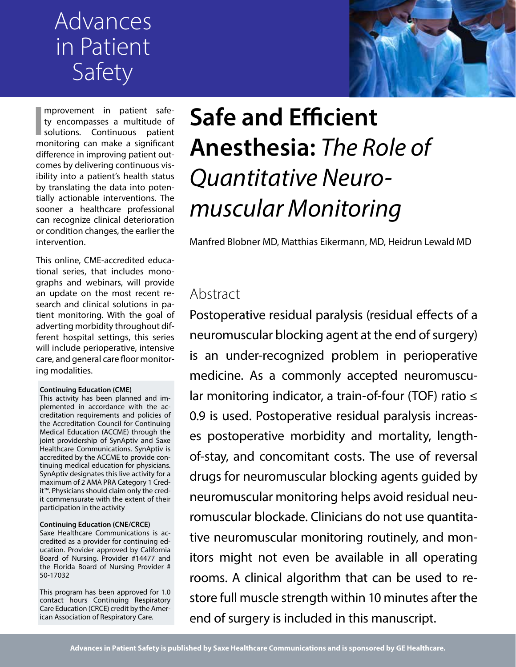# Advances in Patient Safety



**I** mprovement in patient safe-<br>ty encompasses a multitude of<br>solutions. Continuous patient<br>monitoring can make a significant mprovement in patient safety encompasses a multitude of monitoring can make a significant difference in improving patient outcomes by delivering continuous visibility into a patient's health status by translating the data into potentially actionable interventions. The sooner a healthcare professional can recognize clinical deterioration or condition changes, the earlier the intervention.

This online, CME-accredited educational series, that includes monographs and webinars, will provide an update on the most recent research and clinical solutions in patient monitoring. With the goal of adverting morbidity throughout different hospital settings, this series will include perioperative, intensive care, and general care floor monitoring modalities.

#### **Continuing Education (CME)**

This activity has been planned and implemented in accordance with the accreditation requirements and policies of the Accreditation Council for Continuing Medical Education (ACCME) through the joint providership of SynAptiv and Saxe Healthcare Communications. SynAptiv is accredited by the ACCME to provide continuing medical education for physicians. SynAptiv designates this live activity for a maximum of 2 AMA PRA Category 1 Credit™. Physicians should claim only the credit commensurate with the extent of their participation in the activity

#### **Continuing Education (CNE/CRCE)**

Saxe Healthcare Communications is accredited as a provider for continuing education. Provider approved by California Board of Nursing. Provider #14477 and the Florida Board of Nursing Provider # 50-17032

This program has been approved for 1.0 contact hours Continuing Respiratory Care Education (CRCE) credit by the American Association of Respiratory Care.

# **Safe and Efficient Anesthesia:** *The Role of Quantitative Neuromuscular Monitoring*

Manfred Blobner MD, Matthias Eikermann, MD, Heidrun Lewald MD

# Abstract

Postoperative residual paralysis (residual effects of a neuromuscular blocking agent at the end of surgery) is an under-recognized problem in perioperative medicine. As a commonly accepted neuromuscular monitoring indicator, a train-of-four (TOF) ratio ≤ 0.9 is used. Postoperative residual paralysis increases postoperative morbidity and mortality, lengthof-stay, and concomitant costs. The use of reversal drugs for neuromuscular blocking agents guided by neuromuscular monitoring helps avoid residual neuromuscular blockade. Clinicians do not use quantitative neuromuscular monitoring routinely, and monitors might not even be available in all operating rooms. A clinical algorithm that can be used to restore full muscle strength within 10 minutes after the end of surgery is included in this manuscript.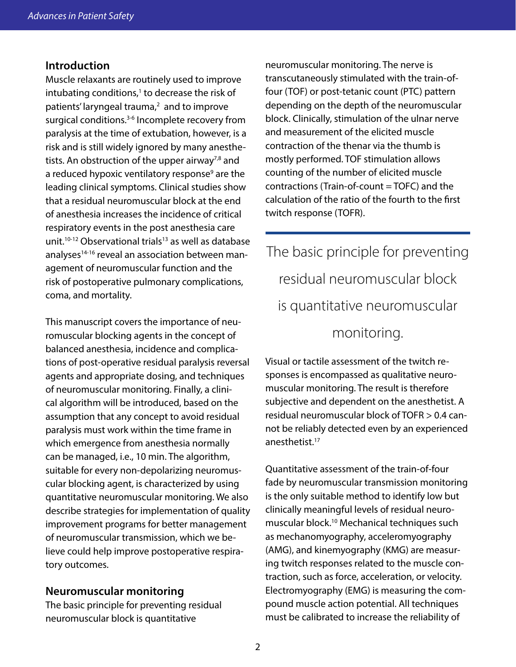#### **Introduction**

Muscle relaxants are routinely used to improve intubating conditions, $1$  to decrease the risk of patients' laryngeal trauma,<sup>2</sup> and to improve surgical conditions.<sup>3-6</sup> Incomplete recovery from paralysis at the time of extubation, however, is a risk and is still widely ignored by many anesthetists. An obstruction of the upper airway<sup>7,8</sup> and a reduced hypoxic ventilatory response<sup>9</sup> are the leading clinical symptoms. Clinical studies show that a residual neuromuscular block at the end of anesthesia increases the incidence of critical respiratory events in the post anesthesia care unit.<sup>10-12</sup> Observational trials<sup>13</sup> as well as database analyses<sup>14-16</sup> reveal an association between management of neuromuscular function and the risk of postoperative pulmonary complications, coma, and mortality.

This manuscript covers the importance of neuromuscular blocking agents in the concept of balanced anesthesia, incidence and complications of post-operative residual paralysis reversal agents and appropriate dosing, and techniques of neuromuscular monitoring. Finally, a clinical algorithm will be introduced, based on the assumption that any concept to avoid residual paralysis must work within the time frame in which emergence from anesthesia normally can be managed, i.e., 10 min. The algorithm, suitable for every non-depolarizing neuromuscular blocking agent, is characterized by using quantitative neuromuscular monitoring. We also describe strategies for implementation of quality improvement programs for better management of neuromuscular transmission, which we believe could help improve postoperative respiratory outcomes.

#### **Neuromuscular monitoring**

The basic principle for preventing residual neuromuscular block is quantitative

neuromuscular monitoring. The nerve is transcutaneously stimulated with the train-offour (TOF) or post-tetanic count (PTC) pattern depending on the depth of the neuromuscular block. Clinically, stimulation of the ulnar nerve and measurement of the elicited muscle contraction of the thenar via the thumb is mostly performed. TOF stimulation allows counting of the number of elicited muscle contractions (Train-of-count = TOFC) and the calculation of the ratio of the fourth to the first twitch response (TOFR).

The basic principle for preventing residual neuromuscular block is quantitative neuromuscular monitoring.

Visual or tactile assessment of the twitch responses is encompassed as qualitative neuromuscular monitoring. The result is therefore subjective and dependent on the anesthetist. A residual neuromuscular block of TOFR > 0.4 cannot be reliably detected even by an experienced anesthetist.17

Quantitative assessment of the train-of-four fade by neuromuscular transmission monitoring is the only suitable method to identify low but clinically meaningful levels of residual neuromuscular block.10 Mechanical techniques such as mechanomyography, acceleromyography (AMG), and kinemyography (KMG) are measuring twitch responses related to the muscle contraction, such as force, acceleration, or velocity. Electromyography (EMG) is measuring the compound muscle action potential. All techniques must be calibrated to increase the reliability of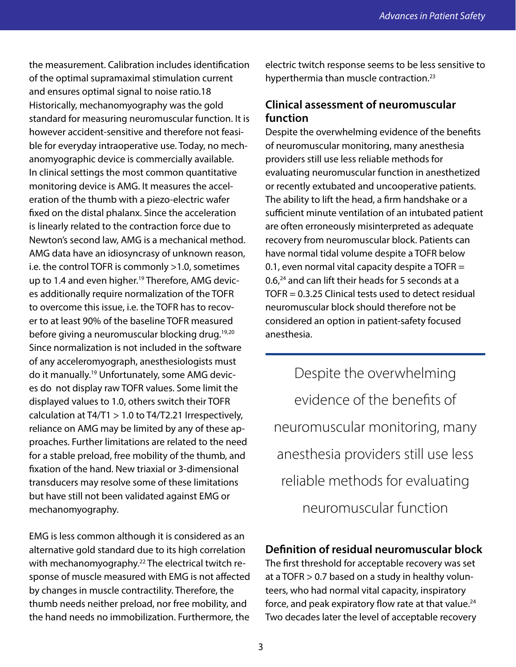the measurement. Calibration includes identification of the optimal supramaximal stimulation current and ensures optimal signal to noise ratio.18 Historically, mechanomyography was the gold standard for measuring neuromuscular function. It is however accident-sensitive and therefore not feasible for everyday intraoperative use. Today, no mechanomyographic device is commercially available. In clinical settings the most common quantitative monitoring device is AMG. It measures the acceleration of the thumb with a piezo-electric wafer fixed on the distal phalanx. Since the acceleration is linearly related to the contraction force due to Newton's second law, AMG is a mechanical method. AMG data have an idiosyncrasy of unknown reason, i.e. the control TOFR is commonly >1.0, sometimes up to 1.4 and even higher.<sup>19</sup> Therefore, AMG devices additionally require normalization of the TOFR to overcome this issue, i.e. the TOFR has to recover to at least 90% of the baseline TOFR measured before giving a neuromuscular blocking drug.19,20 Since normalization is not included in the software of any acceleromyograph, anesthesiologists must do it manually.19 Unfortunately, some AMG devices do not display raw TOFR values. Some limit the displayed values to 1.0, others switch their TOFR calculation at  $T4/T1 > 1.0$  to  $T4/T2.21$  Irrespectively, reliance on AMG may be limited by any of these approaches. Further limitations are related to the need for a stable preload, free mobility of the thumb, and fixation of the hand. New triaxial or 3-dimensional transducers may resolve some of these limitations but have still not been validated against EMG or mechanomyography.

EMG is less common although it is considered as an alternative gold standard due to its high correlation with mechanomyography.<sup>22</sup> The electrical twitch response of muscle measured with EMG is not affected by changes in muscle contractility. Therefore, the thumb needs neither preload, nor free mobility, and the hand needs no immobilization. Furthermore, the

electric twitch response seems to be less sensitive to hyperthermia than muscle contraction.<sup>23</sup>

# **Clinical assessment of neuromuscular function**

Despite the overwhelming evidence of the benefits of neuromuscular monitoring, many anesthesia providers still use less reliable methods for evaluating neuromuscular function in anesthetized or recently extubated and uncooperative patients. The ability to lift the head, a firm handshake or a sufficient minute ventilation of an intubated patient are often erroneously misinterpreted as adequate recovery from neuromuscular block. Patients can have normal tidal volume despite a TOFR below 0.1, even normal vital capacity despite a  $TOFR =$ 0.6,<sup>24</sup> and can lift their heads for 5 seconds at a TOFR = 0.3.25 Clinical tests used to detect residual neuromuscular block should therefore not be considered an option in patient-safety focused anesthesia.

Despite the overwhelming evidence of the benefits of neuromuscular monitoring, many anesthesia providers still use less reliable methods for evaluating neuromuscular function

# **Definition of residual neuromuscular block**

The first threshold for acceptable recovery was set at a TOFR > 0.7 based on a study in healthy volunteers, who had normal vital capacity, inspiratory force, and peak expiratory flow rate at that value.<sup>24</sup> Two decades later the level of acceptable recovery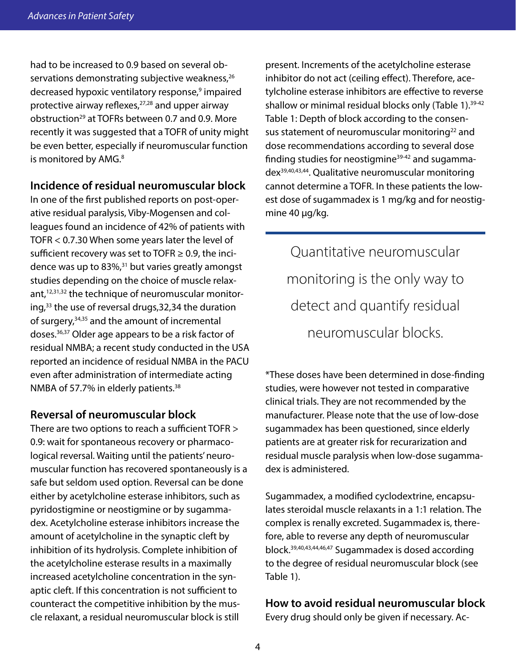had to be increased to 0.9 based on several observations demonstrating subjective weakness,<sup>26</sup> decreased hypoxic ventilatory response,<sup>9</sup> impaired protective airway reflexes, $27,28$  and upper airway obstruction<sup>29</sup> at TOFRs between 0.7 and 0.9. More recently it was suggested that a TOFR of unity might be even better, especially if neuromuscular function is monitored by AMG.<sup>8</sup>

#### **Incidence of residual neuromuscular block**

In one of the first published reports on post-operative residual paralysis, Viby-Mogensen and colleagues found an incidence of 42% of patients with TOFR < 0.7.30 When some years later the level of sufficient recovery was set to TOFR  $\geq$  0.9, the incidence was up to  $83\%$ ,<sup>31</sup> but varies greatly amongst studies depending on the choice of muscle relaxant,<sup>12,31,32</sup> the technique of neuromuscular monitoring,<sup>33</sup> the use of reversal drugs, 32, 34 the duration of surgery,34,35 and the amount of incremental doses.36,37 Older age appears to be a risk factor of residual NMBA; a recent study conducted in the USA reported an incidence of residual NMBA in the PACU even after administration of intermediate acting NMBA of 57.7% in elderly patients.<sup>38</sup>

#### **Reversal of neuromuscular block**

There are two options to reach a sufficient TOFR > 0.9: wait for spontaneous recovery or pharmacological reversal. Waiting until the patients' neuromuscular function has recovered spontaneously is a safe but seldom used option. Reversal can be done either by acetylcholine esterase inhibitors, such as pyridostigmine or neostigmine or by sugammadex. Acetylcholine esterase inhibitors increase the amount of acetylcholine in the synaptic cleft by inhibition of its hydrolysis. Complete inhibition of the acetylcholine esterase results in a maximally increased acetylcholine concentration in the synaptic cleft. If this concentration is not sufficient to counteract the competitive inhibition by the muscle relaxant, a residual neuromuscular block is still

present. Increments of the acetylcholine esterase inhibitor do not act (ceiling effect). Therefore, acetylcholine esterase inhibitors are effective to reverse shallow or minimal residual blocks only (Table 1).<sup>39-42</sup> Table 1: Depth of block according to the consensus statement of neuromuscular monitoring<sup>22</sup> and dose recommendations according to several dose finding studies for neostigmine $39-42$  and sugammadex39,40,43,44. Qualitative neuromuscular monitoring cannot determine a TOFR. In these patients the lowest dose of sugammadex is 1 mg/kg and for neostigmine 40 µg/kg.

Quantitative neuromuscular monitoring is the only way to detect and quantify residual neuromuscular blocks.

\*These doses have been determined in dose-finding studies, were however not tested in comparative clinical trials. They are not recommended by the manufacturer. Please note that the use of low-dose sugammadex has been questioned, since elderly patients are at greater risk for recurarization and residual muscle paralysis when low-dose sugammadex is administered.

Sugammadex, a modified cyclodextrine, encapsulates steroidal muscle relaxants in a 1:1 relation. The complex is renally excreted. Sugammadex is, therefore, able to reverse any depth of neuromuscular block.39,40,43,44,46,47 Sugammadex is dosed according to the degree of residual neuromuscular block (see Table 1).

# **How to avoid residual neuromuscular block**

Every drug should only be given if necessary. Ac-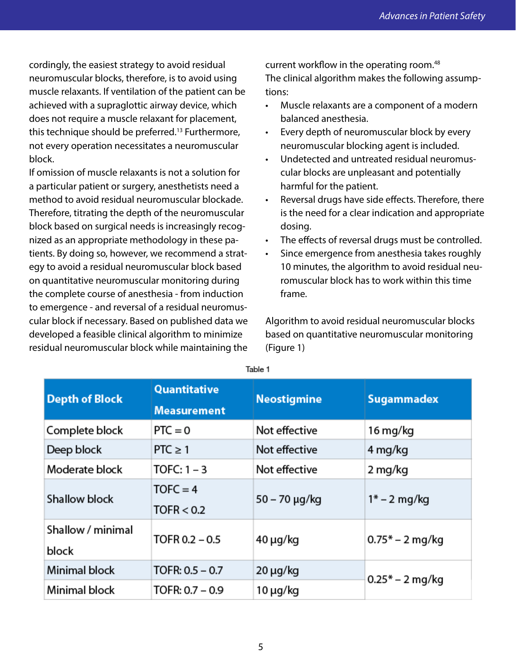cordingly, the easiest strategy to avoid residual neuromuscular blocks, therefore, is to avoid using muscle relaxants. If ventilation of the patient can be achieved with a supraglottic airway device, which does not require a muscle relaxant for placement, this technique should be preferred.13 Furthermore, not every operation necessitates a neuromuscular block.

If omission of muscle relaxants is not a solution for a particular patient or surgery, anesthetists need a method to avoid residual neuromuscular blockade. Therefore, titrating the depth of the neuromuscular block based on surgical needs is increasingly recognized as an appropriate methodology in these patients. By doing so, however, we recommend a strategy to avoid a residual neuromuscular block based on quantitative neuromuscular monitoring during the complete course of anesthesia - from induction to emergence - and reversal of a residual neuromuscular block if necessary. Based on published data we developed a feasible clinical algorithm to minimize residual neuromuscular block while maintaining the

current workflow in the operating room.<sup>48</sup> The clinical algorithm makes the following assumptions:

- Muscle relaxants are a component of a modern balanced anesthesia.
- Every depth of neuromuscular block by every neuromuscular blocking agent is included.
- Undetected and untreated residual neuromuscular blocks are unpleasant and potentially harmful for the patient.
- Reversal drugs have side effects. Therefore, there is the need for a clear indication and appropriate dosing.
- The effects of reversal drugs must be controlled.
- Since emergence from anesthesia takes roughly 10 minutes, the algorithm to avoid residual neuromuscular block has to work within this time frame.

Algorithm to avoid residual neuromuscular blocks based on quantitative neuromuscular monitoring (Figure 1)

| <b>Depth of Block</b>      | Quantitative<br><b>Measurement</b> | <b>Neostigmine</b> | <b>Sugammadex</b> |
|----------------------------|------------------------------------|--------------------|-------------------|
| Complete block             | $PTC = 0$                          | Not effective      | 16 mg/kg          |
| Deep block                 | $PTC \geq 1$                       | Not effective      | 4 mg/kg           |
| Moderate block             | TOFC: $1 - 3$                      | Not effective      | 2 mg/kg           |
| Shallow block              | $TOFC = 4$<br>TOFR < 0.2           | 50 – 70 μg/kg      | $1* - 2$ mg/kg    |
| Shallow / minimal<br>block | TOFR $0.2 - 0.5$                   | $40 \mu g/kg$      | $0.75*-2$ mg/kg   |
| Minimal block              | TOFR: $0.5 - 0.7$                  | $20 \mu g/kg$      | $0.25*-2$ mg/kg   |
| Minimal block              | TOFR: 0.7 - 0.9                    | $10 \mu g/kg$      |                   |

Table 1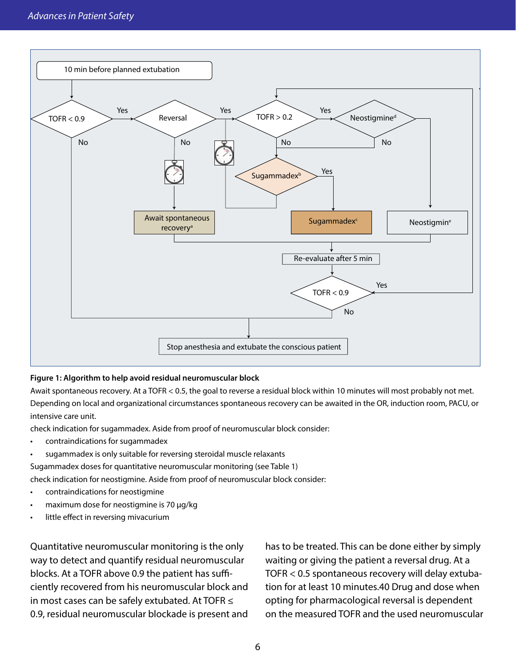

#### **Figure 1: Algorithm to help avoid residual neuromuscular block**

Await spontaneous recovery. At a TOFR < 0.5, the goal to reverse a residual block within 10 minutes will most probably not met. Depending on local and organizational circumstances spontaneous recovery can be awaited in the OR, induction room, PACU, or intensive care unit.

check indication for sugammadex. Aside from proof of neuromuscular block consider:

- contraindications for sugammadex
- sugammadex is only suitable for reversing steroidal muscle relaxants

Sugammadex doses for quantitative neuromuscular monitoring (see Table 1)

check indication for neostigmine. Aside from proof of neuromuscular block consider:

- contraindications for neostigmine
- maximum dose for neostigmine is 70 µg/kg
- little effect in reversing mivacurium

Quantitative neuromuscular monitoring is the only way to detect and quantify residual neuromuscular blocks. At a TOFR above 0.9 the patient has sufficiently recovered from his neuromuscular block and in most cases can be safely extubated. At TOFR ≤ 0.9, residual neuromuscular blockade is present and

has to be treated. This can be done either by simply waiting or giving the patient a reversal drug. At a TOFR < 0.5 spontaneous recovery will delay extubation for at least 10 minutes.40 Drug and dose when opting for pharmacological reversal is dependent on the measured TOFR and the used neuromuscular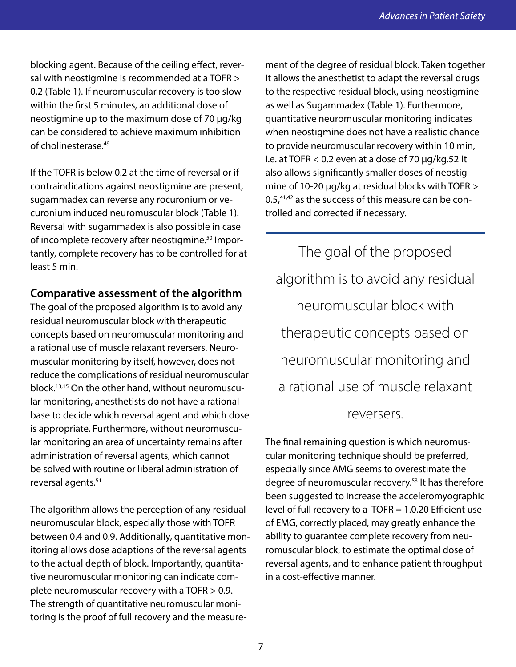blocking agent. Because of the ceiling effect, reversal with neostigmine is recommended at a TOFR > 0.2 (Table 1). If neuromuscular recovery is too slow within the first 5 minutes, an additional dose of neostigmine up to the maximum dose of 70 µg/kg can be considered to achieve maximum inhibition of cholinesterase<sup>49</sup>

If the TOFR is below 0.2 at the time of reversal or if contraindications against neostigmine are present, sugammadex can reverse any rocuronium or vecuronium induced neuromuscular block (Table 1). Reversal with sugammadex is also possible in case of incomplete recovery after neostigmine.<sup>50</sup> Importantly, complete recovery has to be controlled for at least 5 min.

#### **Comparative assessment of the algorithm**

The goal of the proposed algorithm is to avoid any residual neuromuscular block with therapeutic concepts based on neuromuscular monitoring and a rational use of muscle relaxant reversers. Neuromuscular monitoring by itself, however, does not reduce the complications of residual neuromuscular block.13,15 On the other hand, without neuromuscular monitoring, anesthetists do not have a rational base to decide which reversal agent and which dose is appropriate. Furthermore, without neuromuscular monitoring an area of uncertainty remains after administration of reversal agents, which cannot be solved with routine or liberal administration of reversal agents.51

The algorithm allows the perception of any residual neuromuscular block, especially those with TOFR between 0.4 and 0.9. Additionally, quantitative monitoring allows dose adaptions of the reversal agents to the actual depth of block. Importantly, quantitative neuromuscular monitoring can indicate complete neuromuscular recovery with a TOFR > 0.9. The strength of quantitative neuromuscular monitoring is the proof of full recovery and the measurement of the degree of residual block. Taken together it allows the anesthetist to adapt the reversal drugs to the respective residual block, using neostigmine as well as Sugammadex (Table 1). Furthermore, quantitative neuromuscular monitoring indicates when neostigmine does not have a realistic chance to provide neuromuscular recovery within 10 min, i.e. at TOFR  $< 0.2$  even at a dose of 70  $\mu$ g/kg.52 lt also allows significantly smaller doses of neostigmine of 10-20 µg/kg at residual blocks with TOFR > 0.5,<sup>41,42</sup> as the success of this measure can be controlled and corrected if necessary.

The goal of the proposed algorithm is to avoid any residual neuromuscular block with therapeutic concepts based on neuromuscular monitoring and a rational use of muscle relaxant

#### reversers.

The final remaining question is which neuromuscular monitoring technique should be preferred, especially since AMG seems to overestimate the degree of neuromuscular recovery.53 It has therefore been suggested to increase the acceleromyographic level of full recovery to a TOFR = 1.0.20 Efficient use of EMG, correctly placed, may greatly enhance the ability to guarantee complete recovery from neuromuscular block, to estimate the optimal dose of reversal agents, and to enhance patient throughput in a cost-effective manner.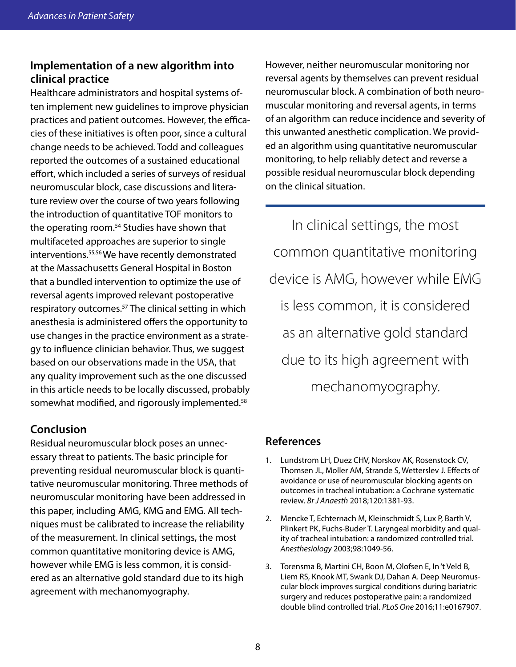# **Implementation of a new algorithm into clinical practice**

Healthcare administrators and hospital systems often implement new guidelines to improve physician practices and patient outcomes. However, the efficacies of these initiatives is often poor, since a cultural change needs to be achieved. Todd and colleagues reported the outcomes of a sustained educational effort, which included a series of surveys of residual neuromuscular block, case discussions and literature review over the course of two years following the introduction of quantitative TOF monitors to the operating room.<sup>54</sup> Studies have shown that multifaceted approaches are superior to single interventions.55,56 We have recently demonstrated at the Massachusetts General Hospital in Boston that a bundled intervention to optimize the use of reversal agents improved relevant postoperative respiratory outcomes.<sup>57</sup> The clinical setting in which anesthesia is administered offers the opportunity to use changes in the practice environment as a strategy to influence clinician behavior. Thus, we suggest based on our observations made in the USA, that any quality improvement such as the one discussed in this article needs to be locally discussed, probably somewhat modified, and rigorously implemented.<sup>58</sup>

# **Conclusion**

Residual neuromuscular block poses an unnecessary threat to patients. The basic principle for preventing residual neuromuscular block is quantitative neuromuscular monitoring. Three methods of neuromuscular monitoring have been addressed in this paper, including AMG, KMG and EMG. All techniques must be calibrated to increase the reliability of the measurement. In clinical settings, the most common quantitative monitoring device is AMG, however while EMG is less common, it is considered as an alternative gold standard due to its high agreement with mechanomyography.

However, neither neuromuscular monitoring nor reversal agents by themselves can prevent residual neuromuscular block. A combination of both neuromuscular monitoring and reversal agents, in terms of an algorithm can reduce incidence and severity of this unwanted anesthetic complication. We provided an algorithm using quantitative neuromuscular monitoring, to help reliably detect and reverse a possible residual neuromuscular block depending on the clinical situation.

In clinical settings, the most common quantitative monitoring device is AMG, however while EMG is less common, it is considered as an alternative gold standard due to its high agreement with mechanomyography.

## **References**

- 1. Lundstrom LH, Duez CHV, Norskov AK, Rosenstock CV, Thomsen JL, Moller AM, Strande S, Wetterslev J. Effects of avoidance or use of neuromuscular blocking agents on outcomes in tracheal intubation: a Cochrane systematic review. *Br J Anaesth* 2018;120:1381-93.
- 2. Mencke T, Echternach M, Kleinschmidt S, Lux P, Barth V, Plinkert PK, Fuchs-Buder T. Laryngeal morbidity and quality of tracheal intubation: a randomized controlled trial. *Anesthesiology* 2003;98:1049-56.
- 3. Torensma B, Martini CH, Boon M, Olofsen E, In 't Veld B, Liem RS, Knook MT, Swank DJ, Dahan A. Deep Neuromuscular block improves surgical conditions during bariatric surgery and reduces postoperative pain: a randomized double blind controlled trial. *PLoS One* 2016;11:e0167907.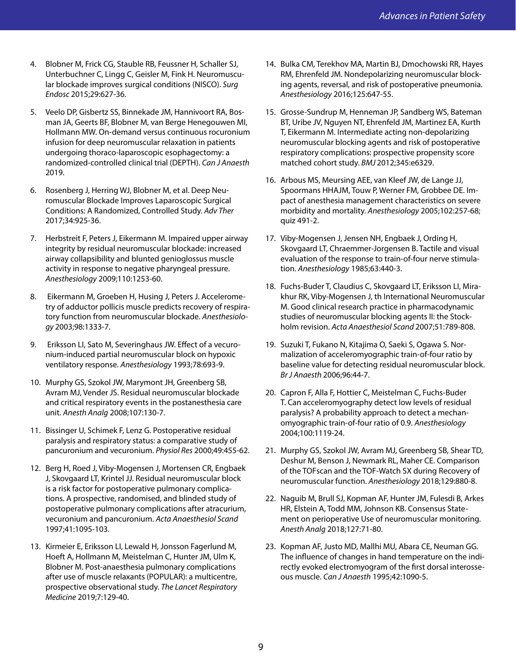- 4. Blobner M, Frick CG, Stauble RB, Feussner H, Schaller SJ, Unterbuchner C, Lingg C, Geisler M, Fink H. Neuromuscular blockade improves surgical conditions (NISCO). *Surg Endosc* 2015;29:627-36.
- 5. Veelo DP, Gisbertz SS, Binnekade JM, Hannivoort RA, Bosman JA, Geerts BF, Blobner M, van Berge Henegouwen MI, Hollmann MW. On-demand versus continuous rocuronium infusion for deep neuromuscular relaxation in patients undergoing thoraco-laparoscopic esophagectomy: a randomized-controlled clinical trial (DEPTH). *Can J Anaesth* 2019.
- 6. Rosenberg J, Herring WJ, Blobner M, et al. Deep Neuromuscular Blockade Improves Laparoscopic Surgical Conditions: A Randomized, Controlled Study. *Adv Ther* 2017;34:925-36.
- 7. Herbstreit F, Peters J, Eikermann M. Impaired upper airway integrity by residual neuromuscular blockade: increased airway collapsibility and blunted genioglossus muscle activity in response to negative pharyngeal pressure. *Anesthesiology* 2009;110:1253-60.
- 8. Eikermann M, Groeben H, Husing J, Peters J. Accelerometry of adductor pollicis muscle predicts recovery of respiratory function from neuromuscular blockade. *Anesthesiology* 2003;98:1333-7.
- 9. Eriksson LI, Sato M, Severinghaus JW. Effect of a vecuronium-induced partial neuromuscular block on hypoxic ventilatory response. *Anesthesiology* 1993;78:693-9.
- 10. Murphy GS, Szokol JW, Marymont JH, Greenberg SB, Avram MJ, Vender JS. Residual neuromuscular blockade and critical respiratory events in the postanesthesia care unit. *Anesth Analg* 2008;107:130-7.
- 11. Bissinger U, Schimek F, Lenz G. Postoperative residual paralysis and respiratory status: a comparative study of pancuronium and vecuronium. *Physiol Res* 2000;49:455-62.
- 12. Berg H, Roed J, Viby-Mogensen J, Mortensen CR, Engbaek J, Skovgaard LT, Krintel JJ. Residual neuromuscular block is a risk factor for postoperative pulmonary complications. A prospective, randomised, and blinded study of postoperative pulmonary complications after atracurium, vecuronium and pancuronium. *Acta Anaesthesiol Scand* 1997;41:1095-103.
- 13. Kirmeier E, Eriksson LI, Lewald H, Jonsson Fagerlund M, Hoeft A, Hollmann M, Meistelman C, Hunter JM, Ulm K, Blobner M. Post-anaesthesia pulmonary complications after use of muscle relaxants (POPULAR): a multicentre, prospective observational study. *The Lancet Respiratory Medicine* 2019;7:129-40.
- 14. Bulka CM, Terekhov MA, Martin BJ, Dmochowski RR, Hayes RM, Ehrenfeld JM. Nondepolarizing neuromuscular blocking agents, reversal, and risk of postoperative pneumonia. *Anesthesiology* 2016;125:647-55.
- 15. Grosse-Sundrup M, Henneman JP, Sandberg WS, Bateman BT, Uribe JV, Nguyen NT, Ehrenfeld JM, Martinez EA, Kurth T, Eikermann M. Intermediate acting non-depolarizing neuromuscular blocking agents and risk of postoperative respiratory complications: prospective propensity score matched cohort study. *BMJ* 2012;345:e6329.
- 16. Arbous MS, Meursing AEE, van Kleef JW, de Lange JJ, Spoormans HHAJM, Touw P, Werner FM, Grobbee DE. Impact of anesthesia management characteristics on severe morbidity and mortality. *Anesthesiology* 2005;102:257-68; quiz 491-2.
- 17. Viby-Mogensen J, Jensen NH, Engbaek J, Ording H, Skovgaard LT, Chraemmer-Jorgensen B. Tactile and visual evaluation of the response to train-of-four nerve stimulation. *Anesthesiology* 1985;63:440-3.
- 18. Fuchs-Buder T, Claudius C, Skovgaard LT, Eriksson LI, Mirakhur RK, Viby-Mogensen J, th International Neuromuscular M. Good clinical research practice in pharmacodynamic studies of neuromuscular blocking agents II: the Stockholm revision. *Acta Anaesthesiol Scand* 2007;51:789-808.
- 19. Suzuki T, Fukano N, Kitajima O, Saeki S, Ogawa S. Normalization of acceleromyographic train-of-four ratio by baseline value for detecting residual neuromuscular block. *Br J Anaesth* 2006;96:44-7.
- 20. Capron F, Alla F, Hottier C, Meistelman C, Fuchs-Buder T. Can acceleromyography detect low levels of residual paralysis? A probability approach to detect a mechanomyographic train-of-four ratio of 0.9. *Anesthesiology* 2004;100:1119-24.
- 21. Murphy GS, Szokol JW, Avram MJ, Greenberg SB, Shear TD, Deshur M, Benson J, Newmark RL, Maher CE. Comparison of the TOFscan and the TOF-Watch SX during Recovery of neuromuscular function. *Anesthesiology* 2018;129:880-8.
- 22. Naguib M, Brull SJ, Kopman AF, Hunter JM, Fulesdi B, Arkes HR, Elstein A, Todd MM, Johnson KB. Consensus Statement on perioperative Use of neuromuscular monitoring. *Anesth Analg* 2018;127:71-80.
- 23. Kopman AF, Justo MD, Mallhi MU, Abara CE, Neuman GG. The influence of changes in hand temperature on the indirectly evoked electromyogram of the first dorsal interosseous muscle. *Can J Anaesth* 1995;42:1090-5.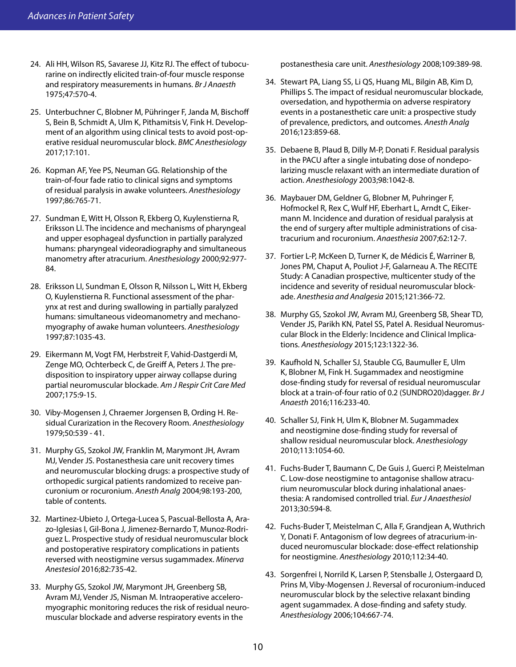- 24. Ali HH, Wilson RS, Savarese JJ, Kitz RJ. The effect of tubocurarine on indirectly elicited train-of-four muscle response and respiratory measurements in humans. *Br J Anaesth*  1975;47:570-4.
- 25. Unterbuchner C, Blobner M, Pühringer F, Janda M, Bischoff S, Bein B, Schmidt A, Ulm K, Pithamitsis V, Fink H. Development of an algorithm using clinical tests to avoid post-operative residual neuromuscular block. *BMC Anesthesiology* 2017;17:101.
- 26. Kopman AF, Yee PS, Neuman GG. Relationship of the train-of-four fade ratio to clinical signs and symptoms of residual paralysis in awake volunteers. *Anesthesiology* 1997;86:765-71.
- 27. Sundman E, Witt H, Olsson R, Ekberg O, Kuylenstierna R, Eriksson LI. The incidence and mechanisms of pharyngeal and upper esophageal dysfunction in partially paralyzed humans: pharyngeal videoradiography and simultaneous manometry after atracurium. *Anesthesiology* 2000;92:977- 84.
- 28. Eriksson LI, Sundman E, Olsson R, Nilsson L, Witt H, Ekberg O, Kuylenstierna R. Functional assessment of the pharynx at rest and during swallowing in partially paralyzed humans: simultaneous videomanometry and mechanomyography of awake human volunteers. *Anesthesiology* 1997;87:1035-43.
- 29. Eikermann M, Vogt FM, Herbstreit F, Vahid-Dastgerdi M, Zenge MO, Ochterbeck C, de Greiff A, Peters J. The predisposition to inspiratory upper airway collapse during partial neuromuscular blockade. *Am J Respir Crit Care Med* 2007;175:9-15.
- 30. Viby-Mogensen J, Chraemer Jorgensen B, Ording H. Residual Curarization in the Recovery Room. *Anesthesiology* 1979;50:539 - 41.
- 31. Murphy GS, Szokol JW, Franklin M, Marymont JH, Avram MJ, Vender JS. Postanesthesia care unit recovery times and neuromuscular blocking drugs: a prospective study of orthopedic surgical patients randomized to receive pancuronium or rocuronium. *Anesth Analg* 2004;98:193-200, table of contents.
- 32. Martinez-Ubieto J, Ortega-Lucea S, Pascual-Bellosta A, Arazo-Iglesias I, Gil-Bona J, Jimenez-Bernardo T, Munoz-Rodriguez L. Prospective study of residual neuromuscular block and postoperative respiratory complications in patients reversed with neostigmine versus sugammadex. *Minerva Anestesiol* 2016;82:735-42.
- 33. Murphy GS, Szokol JW, Marymont JH, Greenberg SB, Avram MJ, Vender JS, Nisman M. Intraoperative acceleromyographic monitoring reduces the risk of residual neuromuscular blockade and adverse respiratory events in the

postanesthesia care unit. *Anesthesiology* 2008;109:389-98.

- 34. Stewart PA, Liang SS, Li QS, Huang ML, Bilgin AB, Kim D, Phillips S. The impact of residual neuromuscular blockade, oversedation, and hypothermia on adverse respiratory events in a postanesthetic care unit: a prospective study of prevalence, predictors, and outcomes. *Anesth Analg* 2016;123:859-68.
- 35. Debaene B, Plaud B, Dilly M-P, Donati F. Residual paralysis in the PACU after a single intubating dose of nondepolarizing muscle relaxant with an intermediate duration of action. *Anesthesiology* 2003;98:1042-8.
- 36. Maybauer DM, Geldner G, Blobner M, Puhringer F, Hofmockel R, Rex C, Wulf HF, Eberhart L, Arndt C, Eikermann M. Incidence and duration of residual paralysis at the end of surgery after multiple administrations of cisatracurium and rocuronium. *Anaesthesia* 2007;62:12-7.
- 37. Fortier L-P, McKeen D, Turner K, de Médicis É, Warriner B, Jones PM, Chaput A, Pouliot J-F, Galarneau A. The RECITE Study: A Canadian prospective, multicenter study of the incidence and severity of residual neuromuscular blockade. *Anesthesia and Analgesia* 2015;121:366-72.
- 38. Murphy GS, Szokol JW, Avram MJ, Greenberg SB, Shear TD, Vender JS, Parikh KN, Patel SS, Patel A. Residual Neuromuscular Block in the Elderly: Incidence and Clinical Implications. *Anesthesiology* 2015;123:1322-36.
- 39. Kaufhold N, Schaller SJ, Stauble CG, Baumuller E, Ulm K, Blobner M, Fink H. Sugammadex and neostigmine dose-finding study for reversal of residual neuromuscular block at a train-of-four ratio of 0.2 (SUNDRO20)dagger. *Br J Anaesth* 2016;116:233-40.
- 40. Schaller SJ, Fink H, Ulm K, Blobner M. Sugammadex and neostigmine dose-finding study for reversal of shallow residual neuromuscular block. *Anesthesiology* 2010;113:1054-60.
- 41. Fuchs-Buder T, Baumann C, De Guis J, Guerci P, Meistelman C. Low-dose neostigmine to antagonise shallow atracurium neuromuscular block during inhalational anaesthesia: A randomised controlled trial. *Eur J Anaesthesiol* 2013;30:594-8.
- 42. Fuchs-Buder T, Meistelman C, Alla F, Grandjean A, Wuthrich Y, Donati F. Antagonism of low degrees of atracurium-induced neuromuscular blockade: dose-effect relationship for neostigmine. *Anesthesiology* 2010;112:34-40.
- 43. Sorgenfrei I, Norrild K, Larsen P, Stensballe J, Ostergaard D, Prins M, Viby-Mogensen J. Reversal of rocuronium-induced neuromuscular block by the selective relaxant binding agent sugammadex. A dose-finding and safety study. *Anesthesiology* 2006;104:667-74.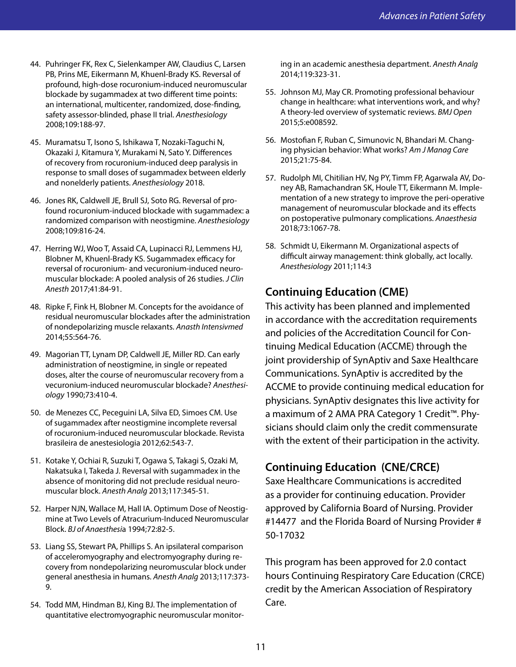- 44. Puhringer FK, Rex C, Sielenkamper AW, Claudius C, Larsen PB, Prins ME, Eikermann M, Khuenl-Brady KS. Reversal of profound, high-dose rocuronium-induced neuromuscular blockade by sugammadex at two different time points: an international, multicenter, randomized, dose-finding, safety assessor-blinded, phase II trial. *Anesthesiology* 2008;109:188-97.
- 45. Muramatsu T, Isono S, Ishikawa T, Nozaki-Taguchi N, Okazaki J, Kitamura Y, Murakami N, Sato Y. Differences of recovery from rocuronium-induced deep paralysis in response to small doses of sugammadex between elderly and nonelderly patients. *Anesthesiology* 2018.
- 46. Jones RK, Caldwell JE, Brull SJ, Soto RG. Reversal of profound rocuronium-induced blockade with sugammadex: a randomized comparison with neostigmine. *Anesthesiology* 2008;109:816-24.
- 47. Herring WJ, Woo T, Assaid CA, Lupinacci RJ, Lemmens HJ, Blobner M, Khuenl-Brady KS. Sugammadex efficacy for reversal of rocuronium- and vecuronium-induced neuromuscular blockade: A pooled analysis of 26 studies. *J Clin Anesth* 2017;41:84-91.
- 48. Ripke F, Fink H, Blobner M. Concepts for the avoidance of residual neuromuscular blockades after the administration of nondepolarizing muscle relaxants. *Anasth Intensivmed*  2014;55:564-76.
- 49. Magorian TT, Lynam DP, Caldwell JE, Miller RD. Can early administration of neostigmine, in single or repeated doses, alter the course of neuromuscular recovery from a vecuronium-induced neuromuscular blockade? *Anesthesiology* 1990;73:410-4.
- 50. de Menezes CC, Peceguini LA, Silva ED, Simoes CM. Use of sugammadex after neostigmine incomplete reversal of rocuronium-induced neuromuscular blockade. Revista brasileira de anestesiologia 2012;62:543-7.
- 51. Kotake Y, Ochiai R, Suzuki T, Ogawa S, Takagi S, Ozaki M, Nakatsuka I, Takeda J. Reversal with sugammadex in the absence of monitoring did not preclude residual neuromuscular block. *Anesth Analg* 2013;117:345-51.
- 52. Harper NJN, Wallace M, Hall IA. Optimum Dose of Neostigmine at Two Levels of Atracurium-Induced Neuromuscular Block. *BJ of Anaesthesi*a 1994;72:82-5.
- 53. Liang SS, Stewart PA, Phillips S. An ipsilateral comparison of acceleromyography and electromyography during recovery from nondepolarizing neuromuscular block under general anesthesia in humans. *Anesth Analg* 2013;117:373- 9.
- 54. Todd MM, Hindman BJ, King BJ. The implementation of quantitative electromyographic neuromuscular monitor-

ing in an academic anesthesia department. *Anesth Analg* 2014;119:323-31.

- 55. Johnson MJ, May CR. Promoting professional behaviour change in healthcare: what interventions work, and why? A theory-led overview of systematic reviews. *BMJ Open*  2015;5:e008592.
- 56. Mostofian F, Ruban C, Simunovic N, Bhandari M. Changing physician behavior: What works? *Am J Manag Care* 2015;21:75-84.
- 57. Rudolph MI, Chitilian HV, Ng PY, Timm FP, Agarwala AV, Doney AB, Ramachandran SK, Houle TT, Eikermann M. Implementation of a new strategy to improve the peri-operative management of neuromuscular blockade and its effects on postoperative pulmonary complications. *Anaesthesia* 2018;73:1067-78.
- 58. Schmidt U, Eikermann M. Organizational aspects of difficult airway management: think globally, act locally. *Anesthesiology* 2011;114:3

# **Continuing Education (CME)**

This activity has been planned and implemented in accordance with the accreditation requirements and policies of the Accreditation Council for Continuing Medical Education (ACCME) through the joint providership of SynAptiv and Saxe Healthcare Communications. SynAptiv is accredited by the ACCME to provide continuing medical education for physicians. SynAptiv designates this live activity for a maximum of 2 AMA PRA Category 1 Credit™. Physicians should claim only the credit commensurate with the extent of their participation in the activity.

# **Continuing Education (CNE/CRCE)**

Saxe Healthcare Communications is accredited as a provider for continuing education. Provider approved by California Board of Nursing. Provider #14477 and the Florida Board of Nursing Provider # 50-17032

This program has been approved for 2.0 contact hours Continuing Respiratory Care Education (CRCE) credit by the American Association of Respiratory Care.